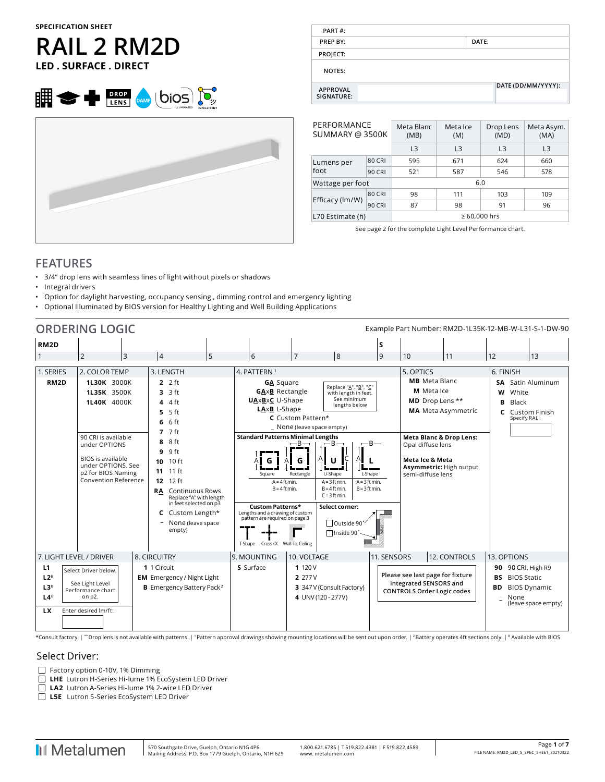# **RAIL 2 RM2D LED . SURFACE . DIRECT**





| PART#:                        |       |                    |
|-------------------------------|-------|--------------------|
| PREP BY:                      | DATE: |                    |
| PROJECT:                      |       |                    |
| <b>NOTES:</b>                 |       |                    |
| <b>APPROVAL</b><br>SIGNATURE: |       | DATE (DD/MM/YYYY): |

| PERFORMANCE<br>SUMMARY @ 3500K |               | Meta Blanc<br>(MB) | Meta Asym.<br>(MA) |                |     |  |  |
|--------------------------------|---------------|--------------------|--------------------|----------------|-----|--|--|
|                                |               | L3                 | L3                 | L <sub>3</sub> | L3  |  |  |
| Lumens per                     | <b>80 CRI</b> | 595                | 671                | 624            | 660 |  |  |
| foot                           | 90 CRI        | 521                | 587                | 546            | 578 |  |  |
| Wattage per foot               |               | 6.0                |                    |                |     |  |  |
|                                | 80 CRI        | 98                 | 111                | 103            | 109 |  |  |
| Efficacy (lm/W)                | 90 CRI        | 87                 | 98                 | 91             | 96  |  |  |
| L70 Estimate (h)               |               | $\geq 60.000$ hrs  |                    |                |     |  |  |

See page 2 for the complete Light Level Performance chart.

### **FEATURES**

- 3/4" drop lens with seamless lines of light without pixels or shadows
- Integral drivers
- Option for daylight harvesting, occupancy sensing , dimming control and emergency lighting
- Optional Illuminated by BIOS version for Healthy Lighting and Well Building Applications

|                                                                                                                                                                   | <b>ORDERING LOGIC</b><br>Example Part Number: RM2D-1L35K-12-MB-W-L31-S-1-DW-90                                                                                                                  |                                                                                                                                                                                                                                                                                                                    |                                                                                                                                                                                                                                                       |                                                                                                                                                                                                                                                 |                                                                                                                                         |                                                                                                                                                                                                |                           |                        |                                                                                                |
|-------------------------------------------------------------------------------------------------------------------------------------------------------------------|-------------------------------------------------------------------------------------------------------------------------------------------------------------------------------------------------|--------------------------------------------------------------------------------------------------------------------------------------------------------------------------------------------------------------------------------------------------------------------------------------------------------------------|-------------------------------------------------------------------------------------------------------------------------------------------------------------------------------------------------------------------------------------------------------|-------------------------------------------------------------------------------------------------------------------------------------------------------------------------------------------------------------------------------------------------|-----------------------------------------------------------------------------------------------------------------------------------------|------------------------------------------------------------------------------------------------------------------------------------------------------------------------------------------------|---------------------------|------------------------|------------------------------------------------------------------------------------------------|
| RM <sub>2</sub> D                                                                                                                                                 |                                                                                                                                                                                                 |                                                                                                                                                                                                                                                                                                                    |                                                                                                                                                                                                                                                       |                                                                                                                                                                                                                                                 | S                                                                                                                                       |                                                                                                                                                                                                |                           |                        |                                                                                                |
| $\vert$ 1                                                                                                                                                         | $\overline{2}$<br>$\overline{3}$                                                                                                                                                                | 5<br>$\overline{4}$                                                                                                                                                                                                                                                                                                | 6                                                                                                                                                                                                                                                     | 8 <br>$\overline{7}$                                                                                                                                                                                                                            | 9                                                                                                                                       | 10                                                                                                                                                                                             | 11                        | 12                     | 13                                                                                             |
| 1. SERIES                                                                                                                                                         | 2. COLOR TEMP                                                                                                                                                                                   | 3. LENGTH                                                                                                                                                                                                                                                                                                          | 4. PATTERN <sup>1</sup>                                                                                                                                                                                                                               |                                                                                                                                                                                                                                                 |                                                                                                                                         | 5. OPTICS                                                                                                                                                                                      |                           | 6. FINISH              |                                                                                                |
| RM <sub>2</sub> D                                                                                                                                                 | 1L30K 3000K<br>1L35K 3500K<br><b>1L40K</b> 4000K<br>90 CRI is available<br>under OPTIONS<br><b>BIOS</b> is available<br>under OPTIONS, See<br>p2 for BIOS Naming<br><b>Convention Reference</b> | $2.2$ ft<br>3 ft<br>3<br>4 ft<br>4<br>$5.5$ ft<br>6 <sub>ft</sub><br>6<br>$77$ $7$ ft<br>8 ft<br>8<br>9 ft<br>9<br>$10$ ft<br>10<br>11 ft<br>11<br>$12$ ft<br>12<br><b>Continuous Rows</b><br><b>RA</b><br>Replace "A" with length<br>in feet selected on p3<br>Custom Length*<br>C<br>None (leave space<br>empty) | <b>GA</b> Square<br><b>GAxB</b> Rectangle<br><b>UAxBxC</b> U-Shape<br>LAxB L-Shape<br>G<br>Square<br>$A = 4$ ft min.<br>$B = 4$ ft min.<br><b>Custom Patterns*</b><br>Lengths and a drawing of custom<br>pattern are required on page 3<br>an agus an | C Custom Pattern*<br>_ None (leave space empty)<br><b>Standard Patterns Minimal Lengths</b><br>$-B-$<br>$-B-$<br>U-Shape<br>Rectangle<br>$A = 3$ ft min.<br>$B = 4$ ft min.<br>$C = 3$ ft min.<br>Select corner:<br>□ Outside 90<br>□ Inside 90 | Replace "A", "B", "C"<br>with length in feet.<br>See minimum<br>lengths below<br>$-B-$<br>L-Shape<br>$A = 3$ ft min.<br>$B = 3$ ft min. | <b>MB</b> Meta Blanc<br>M Meta Ice<br>MD Drop Lens **<br><b>Meta Blanc &amp; Drop Lens:</b><br>Opal diffuse lens<br><b>Meta Ice &amp; Meta</b><br>Asymmetric: High output<br>semi-diffuse lens | <b>MA</b> Meta Asymmetric | w<br>B<br>$\mathbf{C}$ | <b>SA</b> Satin Aluminum<br>White<br>Black<br>Custom Finish<br>Specify RAL:                    |
| 7. LIGHT LEVEL / DRIVER                                                                                                                                           |                                                                                                                                                                                                 | 8. CIRCUITRY                                                                                                                                                                                                                                                                                                       | T-Shape Cross / X Wall-To-Ceiling<br>9. MOUNTING                                                                                                                                                                                                      | 10. VOLTAGE                                                                                                                                                                                                                                     | 11. SENSORS                                                                                                                             |                                                                                                                                                                                                | 12. CONTROLS              | 13. OPTIONS            |                                                                                                |
| L1<br>Select Driver below.<br>$L2^B$<br>See Light Level<br>L3 <sup>B</sup><br>Performance chart<br>L4 <sup>B</sup><br>on p2.<br>Enter desired Im/ft:<br><b>LX</b> |                                                                                                                                                                                                 | 1 1 Circuit<br><b>EM</b> Emergency / Night Light<br><b>B</b> Emergency Battery Pack <sup>2</sup>                                                                                                                                                                                                                   | S Surface                                                                                                                                                                                                                                             | 1120V<br>2 277 V<br>3 347 V (Consult Factory)<br>4 UNV (120 - 277V)                                                                                                                                                                             |                                                                                                                                         | Please see last page for fixture<br>integrated SENSORS and<br><b>CONTROLS Order Logic codes</b>                                                                                                |                           | BS.<br><b>BD</b>       | 90 90 CRI, High R9<br><b>BIOS Static</b><br><b>BIOS Dynamic</b><br>None<br>(leave space empty) |

\*Consult factory. | \*\* Drop lens is not available with patterns. | 1 Pattern approval drawings showing mounting locations will be sent out upon order. | 2 Battery operates 4ft sections only. | B Available with BIOS

### Select Driver:

 $\Box$  Factory option 0-10V, 1% Dimming

**LHE** Lutron H-Series Hi-lume 1% EcoSystem LED Driver

**LA2** Lutron A-Series Hi-lume 1% 2-wire LED Driver

**L5E** Lutron 5-Series EcoSystem LED Driver

**I**I Metalumen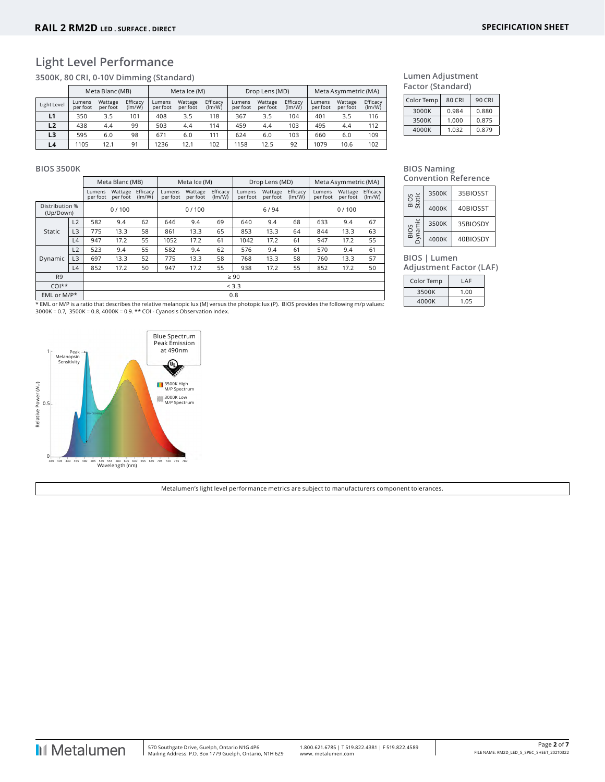### **Light Level Performance**

**3500K, 80 CRI, 0-10V Dimming (Standard)**

|                | Meta Blanc (MB)    |                     |                    | Meta Ice (M)       |                     |                    | Drop Lens (MD)     |                     |                    | Meta Asymmetric (MA) |                     |                    |
|----------------|--------------------|---------------------|--------------------|--------------------|---------------------|--------------------|--------------------|---------------------|--------------------|----------------------|---------------------|--------------------|
| Light Level    | Lumens<br>per foot | Wattage<br>per foot | Efficacy<br>(lm/W) | Lumens<br>per foot | Wattage<br>per foot | Efficacy<br>(lm/W) | Lumens<br>per foot | Wattage<br>per foot | Efficacy<br>(lm/W) | Lumens<br>per foot   | Wattage<br>per foot | Efficacy<br>(lm/W) |
| L1             | 350                | 3.5                 | 101                | 408                | 3.5                 | 118                | 367                | 3.5                 | 104                | 401                  | 3.5                 | 116                |
| L <sub>2</sub> | 438                | 4.4                 | 99                 | 503                | 4.4                 | 114                | 459                | 4.4                 | 103                | 495                  | 4.4                 | 112                |
| L3             | 595                | 6.0                 | 98                 | 671                | 6.0                 | 111                | 624                | 6.0                 | 103                | 660                  | 6.0                 | 109                |
| L4             | 1105               | 12.1                | 91                 | 1236               | 12.1                | 102                | 1158               | 12.5                | 92                 | 1079                 | 10.6                | 102                |

| Lumen Adjustment  |
|-------------------|
| Factor (Standard) |

| 80 CRI | 90 CRI |
|--------|--------|
| 0.984  | 0.880  |
| 1.000  | 0.875  |
| 1.032  | 0.879  |
|        |        |

### **BIOS 3500K**

|                             |                |                    | Meta Blanc (MB)     |                    | Meta Ice (M)       |                     | Drop Lens (MD)     |                    |                     | Meta Asymmetric (MA) |                    |                     |                    |
|-----------------------------|----------------|--------------------|---------------------|--------------------|--------------------|---------------------|--------------------|--------------------|---------------------|----------------------|--------------------|---------------------|--------------------|
|                             |                | Lumens<br>per foot | Wattage<br>per foot | Efficacy<br>(lm/W) | Lumens<br>per foot | Wattage<br>per foot | Efficacy<br>(lm/W) | Lumens<br>per foot | Wattage<br>per foot | Efficacy<br>(lm/W)   | Lumens<br>per foot | Wattage<br>per foot | Efficacy<br>(lm/W) |
| Distribution %<br>(Up/Down) |                |                    | 0/100               |                    |                    | 0/100               |                    |                    | 6/94                |                      |                    | 0/100               |                    |
|                             | L2             | 582                | 9.4                 | 62                 | 646                | 9.4                 | 69                 | 640                | 9.4                 | 68                   | 633                | 9.4                 | 67                 |
| Static                      | L3             | 775                | 13.3                | 58                 | 861                | 13.3                | 65                 | 853                | 13.3                | 64                   | 844                | 13.3                | 63                 |
|                             | L4             | 947                | 17.2                | 55                 | 1052               | 17.2                | 61                 | 1042               | 17.2                | 61                   | 947                | 17.2                | 55                 |
|                             | L2             | 523                | 9.4                 | 55                 | 582                | 9.4                 | 62                 | 576                | 9.4                 | 61                   | 570                | 9.4                 | 61                 |
| Dynamic                     | L <sub>3</sub> | 697                | 13.3                | 52                 | 775                | 13.3                | 58                 | 768                | 13.3                | 58                   | 760                | 13.3                | 57                 |
|                             | L4             | 852                | 17.2                | 50                 | 947                | 17.2                | 55                 | 938                | 17.2                | 55                   | 852                | 17.2                | 50                 |
| R <sub>9</sub>              |                |                    |                     |                    |                    |                     |                    | $\geq 90$          |                     |                      |                    |                     |                    |
| $COI**$                     |                |                    | < 3.3               |                    |                    |                     |                    |                    |                     |                      |                    |                     |                    |
| EML or M/P*                 |                |                    | 0.8                 |                    |                    |                     |                    |                    |                     |                      |                    |                     |                    |

\* EML or M/P is a ratio that describes the relative melanopic lux (M) versus the photopic lux (P). BIOS provides the following m/p values:<br>3000K = 0.7, 3500K = 0.8, 4000K = 0.9. \*\* COI - Cyanosis Observation Index.



**BIOS Naming Convention Reference**

| Static         | 3500K | 35BIOSST |
|----------------|-------|----------|
| BIO            | 4000K | 40BIOSST |
| ynamic         | 3500K | 35BIOSDY |
| $\overline{m}$ | 4000K | 40BIOSDY |

**BIOS | Lumen** 

**Adjustment Factor (LAF)**

| Color Temp | LAF  |
|------------|------|
| 3500K      | 1.00 |
| 4000K      | 1.05 |

Metalumen's light level performance metrics are subject to manufacturers component tolerances.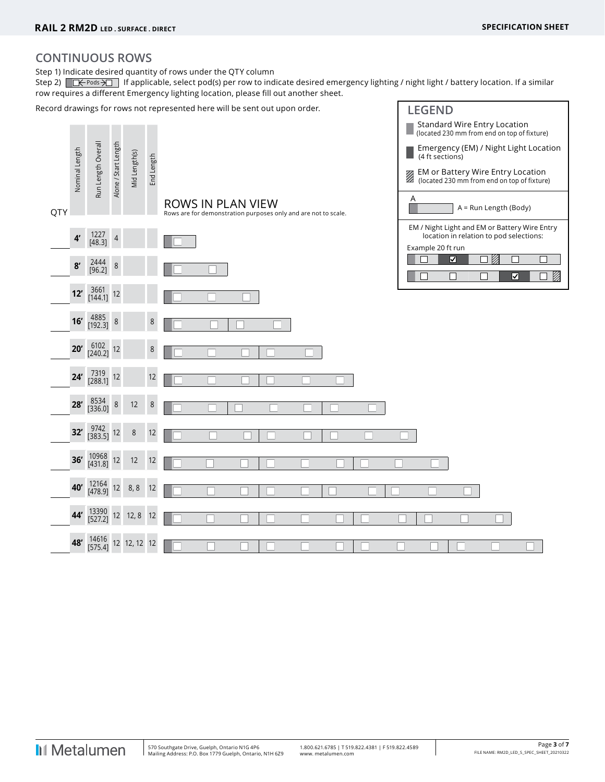**LEGEND**

### **CONTINUOUS ROWS**

Step 1) Indicate desired quantity of rows under the QTY column

Step 2)  $R\rightarrow$  Pods  $\rightarrow$  If applicable, select pod(s) per row to indicate desired emergency lighting / night light / battery location. If a similar row requires a different Emergency lighting location, please fill out another sheet.

Record drawings for rows not represented here will be sent out upon order.

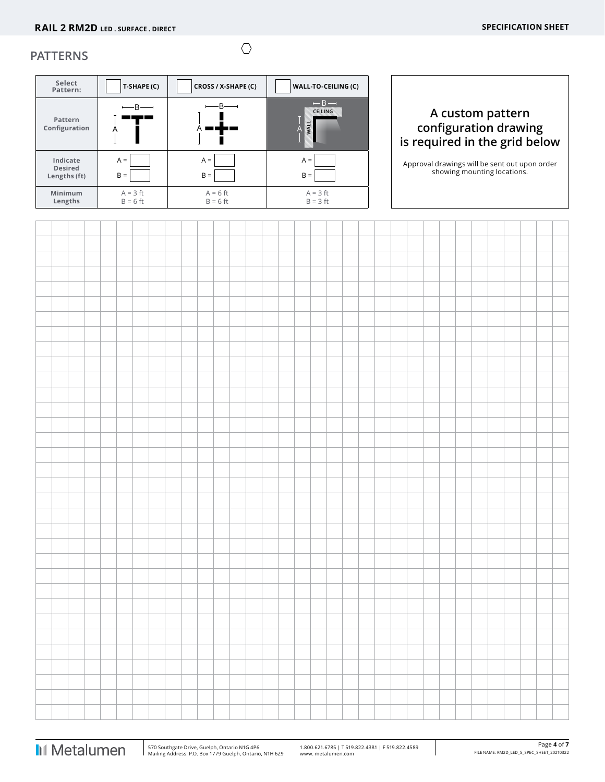### **PATTERNS**

| Select<br>Pattern:                         | T-SHAPE (C)              | CROSS / X-SHAPE (C)      | WALL-TO-CEILING (C)        |                                                                              |
|--------------------------------------------|--------------------------|--------------------------|----------------------------|------------------------------------------------------------------------------|
| Pattern<br>Configuration                   | $-$ B $-$<br>A           |                          | $- B -$<br>CEILING<br>WALL | A custom pattern<br>configuration drawing<br>is required in the grid below   |
| Indicate<br><b>Desired</b><br>Lengths (ft) | $A =$<br>$B =$           | $A =$<br>$B =$           | $A =$<br>$B =$             | Approval drawings will be sent out upon order<br>showing mounting locations. |
| <b>Minimum</b><br>Lengths                  | $A = 3$ ft<br>$B = 6$ ft | $A = 6$ ft<br>$B = 6$ ft | $A = 3$ ft<br>$B = 3 ft$   |                                                                              |

 $\circlearrowright$ 

 $\overline{1}$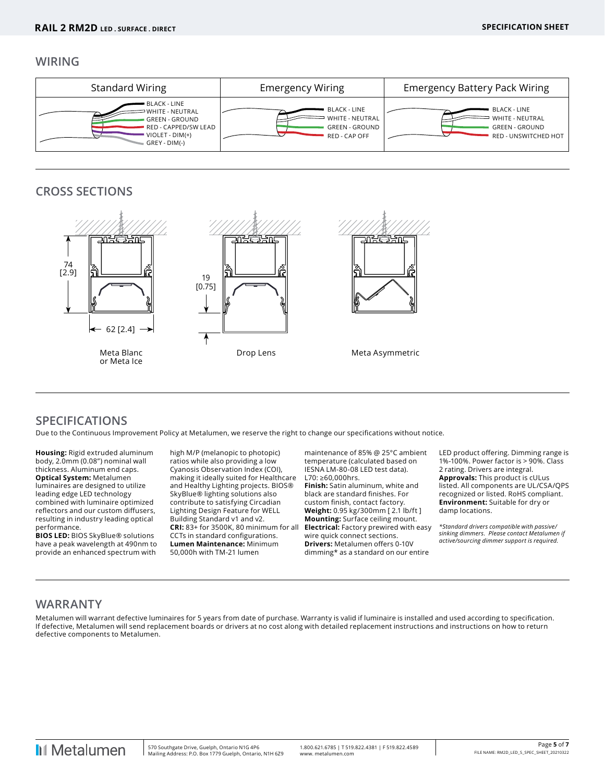### **WIRING**



### **CROSS SECTIONS**



### **SPECIFICATIONS**

Due to the Continuous Improvement Policy at Metalumen, we reserve the right to change our specifications without notice.

**Housing:** Rigid extruded aluminum body, 2.0mm (0.08") nominal wall thickness. Aluminum end caps. **Optical System:** Metalumen luminaires are designed to utilize leading edge LED technology combined with luminaire optimized reflectors and our custom diffusers, resulting in industry leading optical performance.

**BIOS LED:** BIOS SkyBlue® solutions have a peak wavelength at 490nm to provide an enhanced spectrum with high M/P (melanopic to photopic) ratios while also providing a low Cyanosis Observation Index (COI), making it ideally suited for Healthcare and Healthy Lighting projects. BIOS® SkyBlue® lighting solutions also contribute to satisfying Circadian Lighting Design Feature for WELL Building Standard v1 and v2. **CRI:** 83+ for 3500K, 80 minimum for all CCTs in standard configurations. **Lumen Maintenance:** Minimum 50,000h with TM-21 lumen

maintenance of 85% @ 25°C ambient temperature (calculated based on IESNA LM-80-08 LED test data). L70: ≥60,000hrs.

**Finish:** Satin aluminum, white and black are standard finishes. For custom finish, contact factory. **Weight:** 0.95 kg/300mm [ 2.1 lb/ft ] **Mounting:** Surface ceiling mount. **Electrical:** Factory prewired with easy wire quick connect sections. **Drivers:** Metalumen offers 0-10V dimming\* as a standard on our entire

LED product offering. Dimming range is 1%-100%. Power factor is > 90%. Class 2 rating. Drivers are integral. **Approvals:** This product is cULus listed. All components are UL/CSA/QPS recognized or listed. RoHS compliant. **Environment:** Suitable for dry or damp locations.

*\*Standard drivers compatible with passive/ sinking dimmers. Please contact Metalumen if active/sourcing dimmer support is required.*

### **WARRANTY**

Metalumen will warrant defective luminaires for 5 years from date of purchase. Warranty is valid if luminaire is installed and used according to specification. If defective, Metalumen will send replacement boards or drivers at no cost along with detailed replacement instructions and instructions on how to return defective components to Metalumen.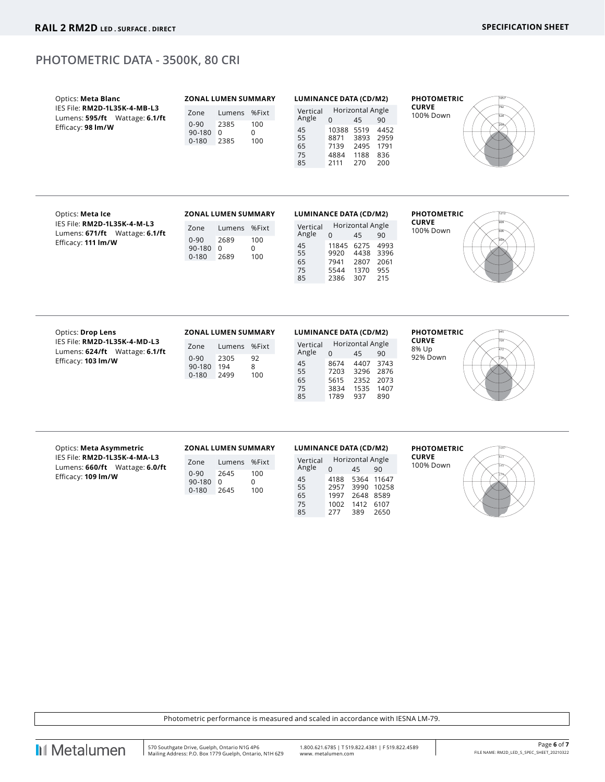### **PHOTOMETRIC DATA - 3500K, 80 CRI**

| Optics: Meta Blanc<br>IES File: RM2D-1L35K-4-MB-L3<br>Lumens: 595/ft Wattage: 6.1/ft<br>Efficacy: 98 Im/W | <b>ZONAL LUMEN SUMMARY</b><br>Lumens %Fixt<br>Zone<br>$0 - 90$<br>2385<br>100<br>$\overline{0}$<br>90-180 0<br>$0 - 180$<br>2385<br>100 | <b>LUMINANCE DATA (CD/M2)</b><br>Horizontal Angle<br>Vertical<br>Angle<br>$\Omega$<br>45<br>90<br>10388 5519<br>45<br>4452<br>55<br>8871<br>3893 2959                                                    | <b>PHOTOMETRIC</b><br><b>CURVE</b><br>100% Down |
|-----------------------------------------------------------------------------------------------------------|-----------------------------------------------------------------------------------------------------------------------------------------|----------------------------------------------------------------------------------------------------------------------------------------------------------------------------------------------------------|-------------------------------------------------|
|                                                                                                           |                                                                                                                                         | 65<br>7139<br>2495 1791<br>75<br>1188 836<br>4884<br>85<br>2111<br>270<br>200                                                                                                                            |                                                 |
| Optics: Meta Ice                                                                                          | <b>ZONAL LUMEN SUMMARY</b>                                                                                                              | <b>LUMINANCE DATA (CD/M2)</b>                                                                                                                                                                            | <b>PHOTOMETRIC</b>                              |
| IES File: RM2D-1L35K-4-M-L3<br>Lumens: 671/ft Wattage: 6.1/ft<br>Efficacy: 111 Im/W                       | Lumens %Fixt<br>Zone<br>2689<br>$0 - 90$<br>100<br>90-180 0<br>$\Omega$<br>$0 - 180$<br>2689<br>100                                     | Horizontal Angle<br>Vertical<br>Angle<br>$\Omega$<br>45<br>90<br>45<br>11845 6275 4993<br>55<br>4438 3396<br>9920<br>65<br>2807 2061<br>7941<br>75<br>1370<br>955<br>5544<br>85<br>2386<br>307<br>215    | <b>CURVE</b><br>100% Down                       |
| Optics: Drop Lens                                                                                         | <b>ZONAL LUMEN SUMMARY</b>                                                                                                              | <b>LUMINANCE DATA (CD/M2)</b>                                                                                                                                                                            | <b>PHOTOMETRIC</b>                              |
| IES File: RM2D-1L35K-4-MD-L3<br>Lumens: 624/ft Wattage: 6.1/ft<br>Efficacy: 103 Im/W                      | Lumens %Fixt<br>Zone<br>$0 - 90$<br>2305<br>92<br>90-180 194<br>8<br>$0 - 180$<br>2499<br>100                                           | Horizontal Angle<br>Vertical<br>Angle<br>$\Omega$<br>45<br>90<br>4407<br>45<br>8674<br>3743<br>55<br>7203<br>3296 2876<br>65<br>5615<br>2352 2073<br>75<br>1535 1407<br>3834<br>85<br>1789<br>937<br>890 | <b>CURVE</b><br>8% Up<br>92% Down               |
| Optics: Meta Asymmetric                                                                                   | <b>ZONAL LUMEN SUMMARY</b>                                                                                                              | <b>LUMINANCE DATA (CD/M2)</b>                                                                                                                                                                            | <b>PHOTOMETRIC</b>                              |

IES File: **RM2D-1L35K-4-MA-L3** Lumens: **660/ft** Wattage: **6.0/ft** Efficacy: **109 lm/W**

| Zone      | Lumens | %Fixt |
|-----------|--------|-------|
| $0 - 90$  | 2645   | 100   |
| 90-180    | U      | U     |
| $0 - 180$ | 2645   | 100   |

| UMINANCE DATA (CD/M2) |                  |      |       |  |  |  |  |  |
|-----------------------|------------------|------|-------|--|--|--|--|--|
| Vertical              | Horizontal Angle |      |       |  |  |  |  |  |
| Angle                 | $\Omega$         | 45   | 90    |  |  |  |  |  |
| 45                    | 4188             | 5364 | 11647 |  |  |  |  |  |
| 55                    | 2957             | 3990 | 10258 |  |  |  |  |  |
| 65                    | 1997             | 2648 | 8589  |  |  |  |  |  |
| 75                    | 1002             | 1412 | 6107  |  |  |  |  |  |
| 85                    | 277              | 389  | 2650  |  |  |  |  |  |

**CURVE** 100% Down



Photometric performance is measured and scaled in accordance with IESNA LM-79.

**II** Metalumen